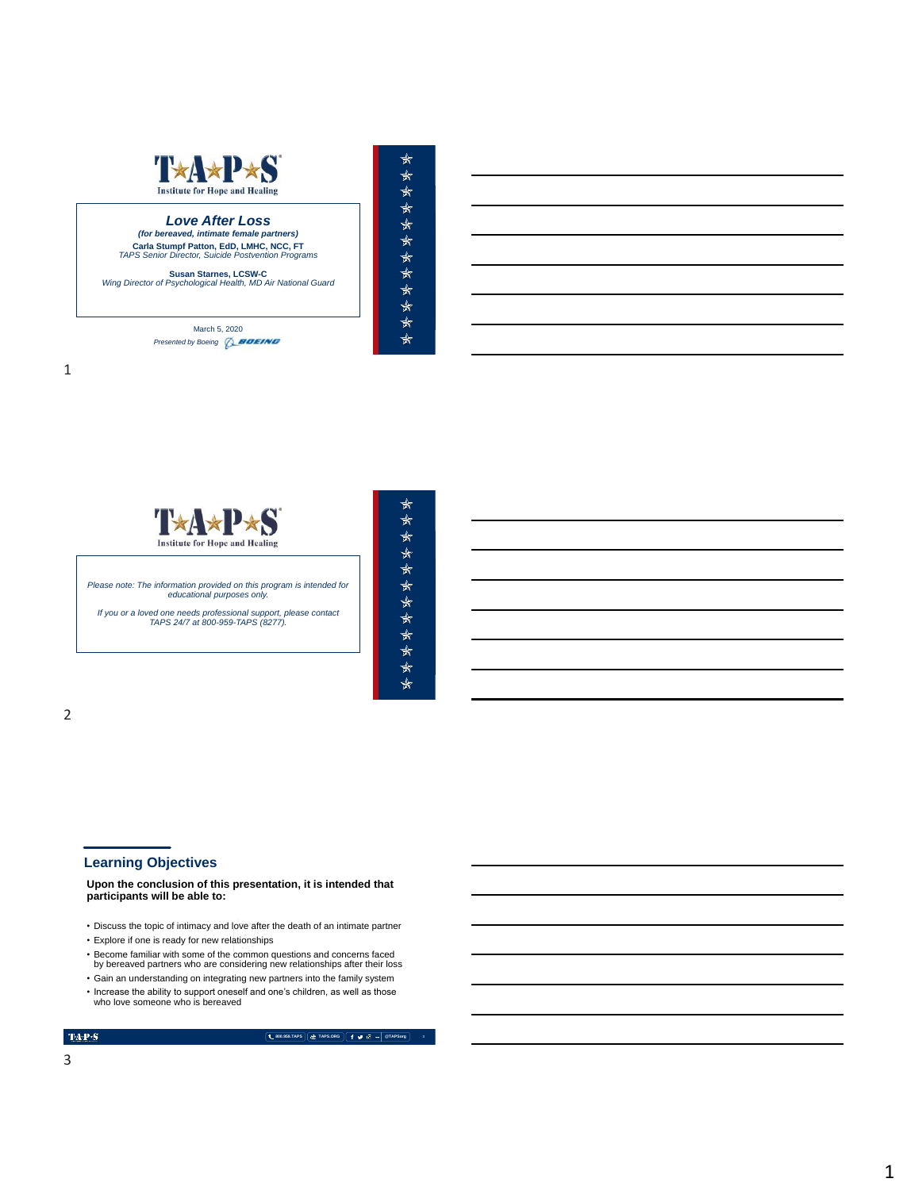

 $\star$ 

 $\ddot{\ast}$  $\hat{\ast}$ 

 $\star$ 

\*\*\*\*\*\*\*\*\*

 $\star$ 

、女女女

 $\star$  $\star$ 

\*\*\*\*\*\*

 $\star$ 

*(for bereaved, intimate female partners) Love After Loss*  **Carla Stumpf Patton, EdD, LMHC, NCC, FT** *TAPS Senior Director, Suicide Postvention Programs*

**Susan Starnes, LCSW-C** *Wing Director of Psychological Health, MD Air National Guard*

March 5, 2020 **Presented by Boeing Q BOEING** 



### **Learning Objectives**

**Upon the conclusion of this presentation, it is intended that participants will be able to:**

- Discuss the topic of intimacy and love after the death of an intimate partner
- Explore if one is ready for new relationships
- Become familiar with some of the common questions and concerns faced by bereaved partners who are considering new relationships after their loss
- Gain an understanding on integrating new partners into the family system
- Increase the ability to support oneself and one's children, as well as those
- who love someone who is bereaved

### TAP<sub>'</sub>S

**800.959.TAPS TAPS.ORG @TAPSorg**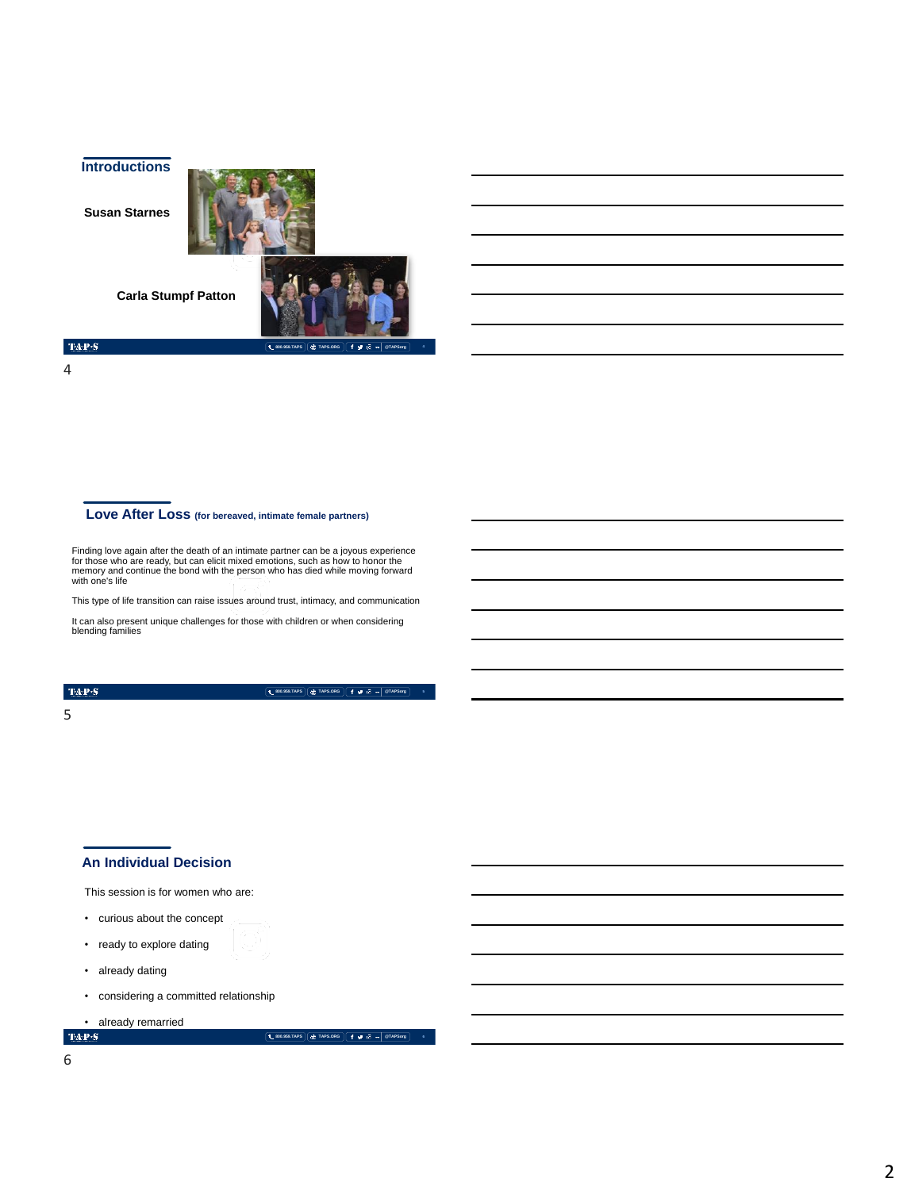**Introductions**

**Susan Starnes** 





4

 $\mathbf{TAP}\cdot\mathbf{S}$ 

### **Love After Loss (for bereaved, intimate female partners)**

Finding love again after the death of an intimate partner can be a joyous experience<br>for those who are ready, but can elicit mixed emotions, such as how to honor the<br>memory and continue the bond with the person who has die with one's life

This type of life transition can raise issues around trust, intimacy, and communication

It can also present unique challenges for those with children or when considering blending families

### TAP<sub>'</sub>S

**800.959.TAPS TAPS.ORG @TAPSorg**

### 5

### **An Individual Decision**

This session is for women who are:

- curious about the concept
- ready to explore dating
- already dating
- considering a committed relationship

• already remarried

**800.959.TAPS TAPS.ORG @TAPSorg 6**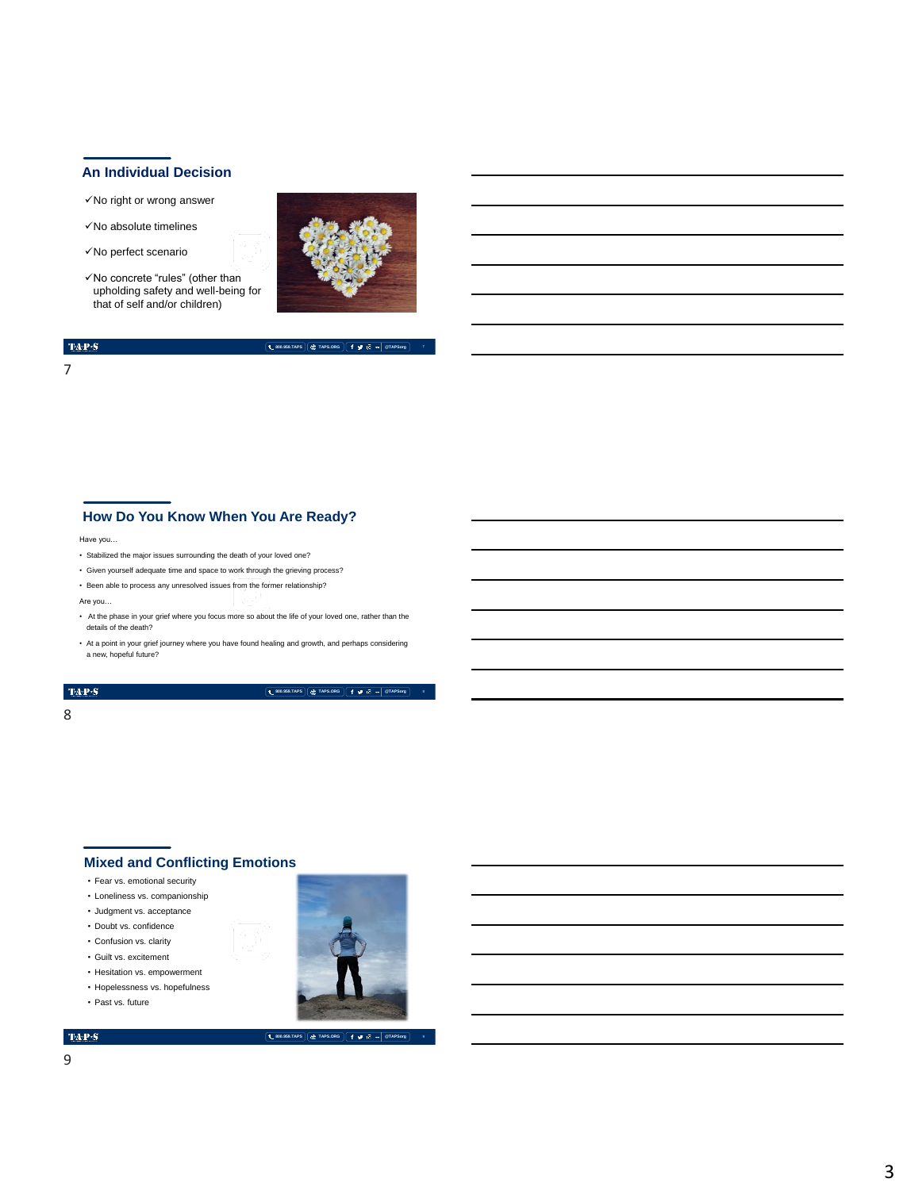### **An Individual Decision**

- ✓No right or wrong answer
- ✓No absolute timelines
- ✓No perfect scenario
- ✓No concrete "rules" (other than upholding safety and well-being for that of self and/or children)



# $TAP-S$

### **800.959.TAPS TAPS.ORG @TAPSorg 7**

7

# **How Do You Know When You Are Ready?**

Have you…

- Stabilized the major issues surrounding the death of your loved one?
- Given yourself adequate time and space to work through the grieving process?
- Been able to process any unresolved issues from the former relationship?

Are you…

- At the phase in your grief where you focus more so about the life of your loved one, rather than the details of the death?
- At a point in your grief journey where you have found healing and growth, and perhaps considering a new, hopeful future?

### $\mathbf{TAP}\cdot\mathbf{S}$

**800.959.TAPS TAPS.ORG @TAPSorg**

### 8

# **Mixed and Conflicting Emotions**

- Fear vs. emotional security
- Loneliness vs. companionship
- Judgment vs. acceptance
- Doubt vs. confidence
- Confusion vs. clarity
- Guilt vs. excitement
- Hesitation vs. empowerment
- Hopelessness vs. hopefulness • Past vs. future



TAP<sub>'</sub>S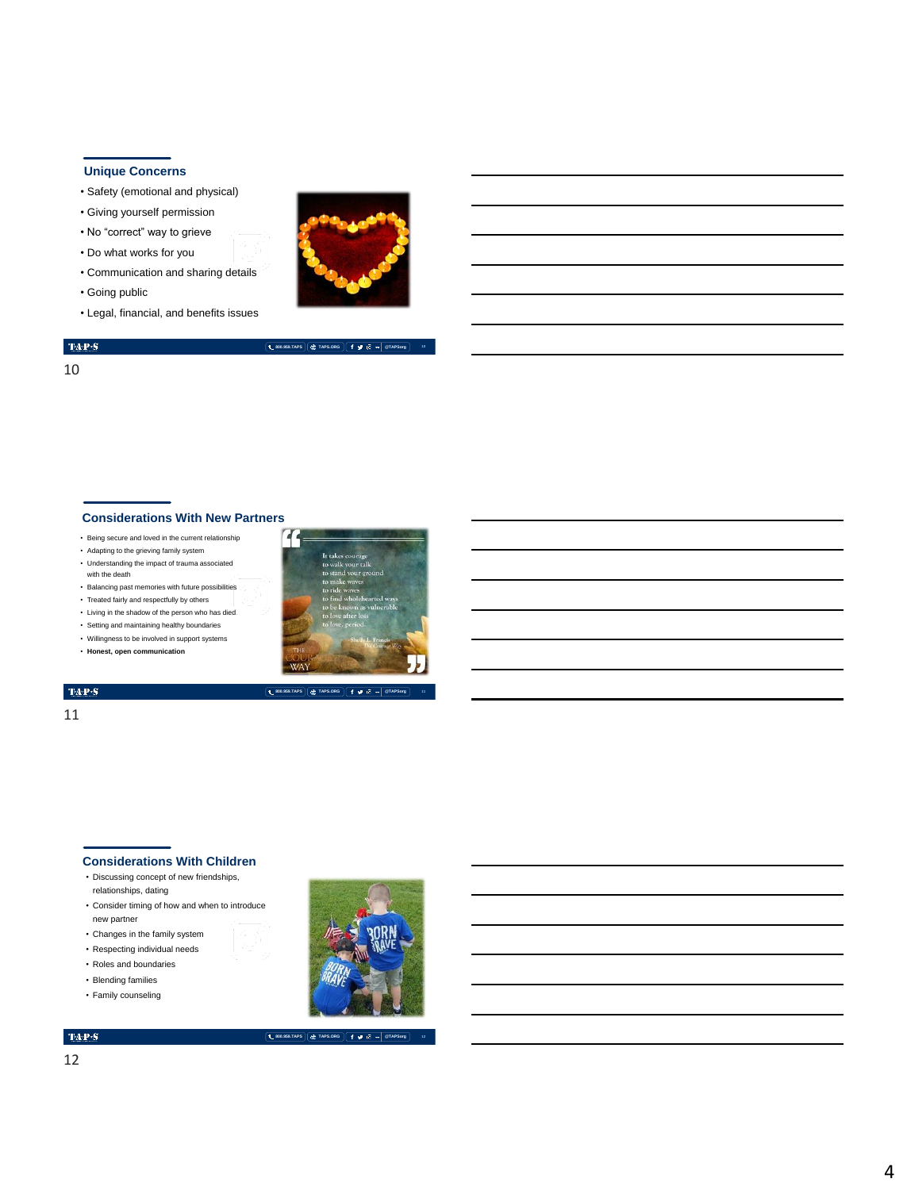### **Unique Concerns**

- Safety (emotional and physical)
- Giving yourself permission
- No "correct" way to grieve
- Do what works for you
- Communication and sharing details
- Going public
- Legal, financial, and benefits issues



**800.959.TAPS TAPS.ORG @TAPSorg**

# $TAP-S$

10

### **Considerations With New Partners**

- Being secure and loved in the current relationship
- Adapting to the grieving family system
- Understanding the impact of trauma associated with the death
- Balancing past memories with future possibilities
- Treated fairly and respectfully by others
- Living in the shadow of the person who has died
- Setting and maintaining healthy boundaries • Willingness to be involved in support systems
- **Honest, open communication**



### **800.959.TAPS TAPS.ORG @TAPSorg**

# $\mathbf{T}\mathbf{A}\mathbf{P}\mathbf{S}$ 11

### **Considerations With Children**

- Discussing concept of new friendships, relationships, dating
- Consider timing of how and when to introduce new partner
- Changes in the family system
- Respecting individual needs
- Roles and boundaries • Blending families
- 
- Family counseling



**12**

**800.959.TAPS TAPS.ORG @TAPSorg**

12

4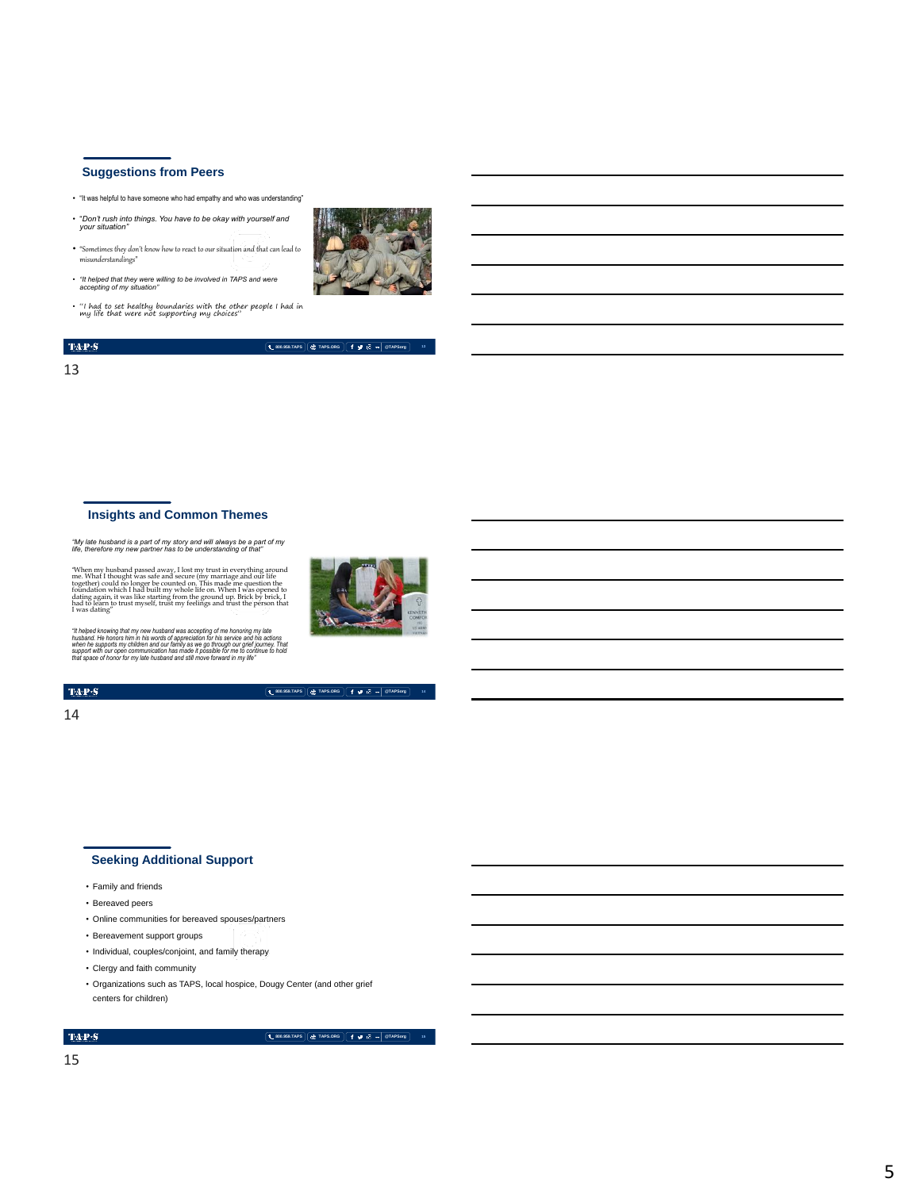# **Suggestions from Peers**

- "It was helpful to have someone who had empathy and who was understanding"
- "*Don't rush into things. You have to be okay with yourself and your situation"*
- "Sometimes they don't know how to react to our situation and that can lead to misunderstandings"
- *"It helped that they were willing to be involved in TAPS and were accepting of my situation"*
- "I had to set healthy boundaries with the other people I had in my life that were not supporting my choices"



 $TAP-S$ **L** 800.959.TAPS<sup></sup> **TAPS.ORG**  $f \cancel{\#}$  **T**  $\sqrt{8}$  **w**  $\boxed{8}$  **TAPSorg** 13

### **Insights and Common Themes**

*"My late husband is a part of my story and will always be a part of my life, therefore my new partner has to be understanding of that"* 

When my husband passed away, I lost my trust in everything around me. What I thought was safe and secure (my marriage and our life for the formation which I had benites the formation of the formation which I had built my

"It helped knowing that my new husband was accepting of me honoring my late<br>husband. He honors him in his words of appreciation for his service and his actions<br>when he supports my children and our family as we go through o

### $\mathbf{TAP}\cdot\mathbf{S}$

**800.959.TAPS TAPS.ORG @TAPSorg**

### 14

# **Seeking Additional Support**

- Family and friends
- Bereaved peers
- Online communities for bereaved spouses/partners
- Bereavement support groups
- Individual, couples/conjoint, and family therapy
- Clergy and faith community
- Organizations such as TAPS, local hospice, Dougy Center (and other grief centers for children)

### TAP<sub>S</sub>

**15**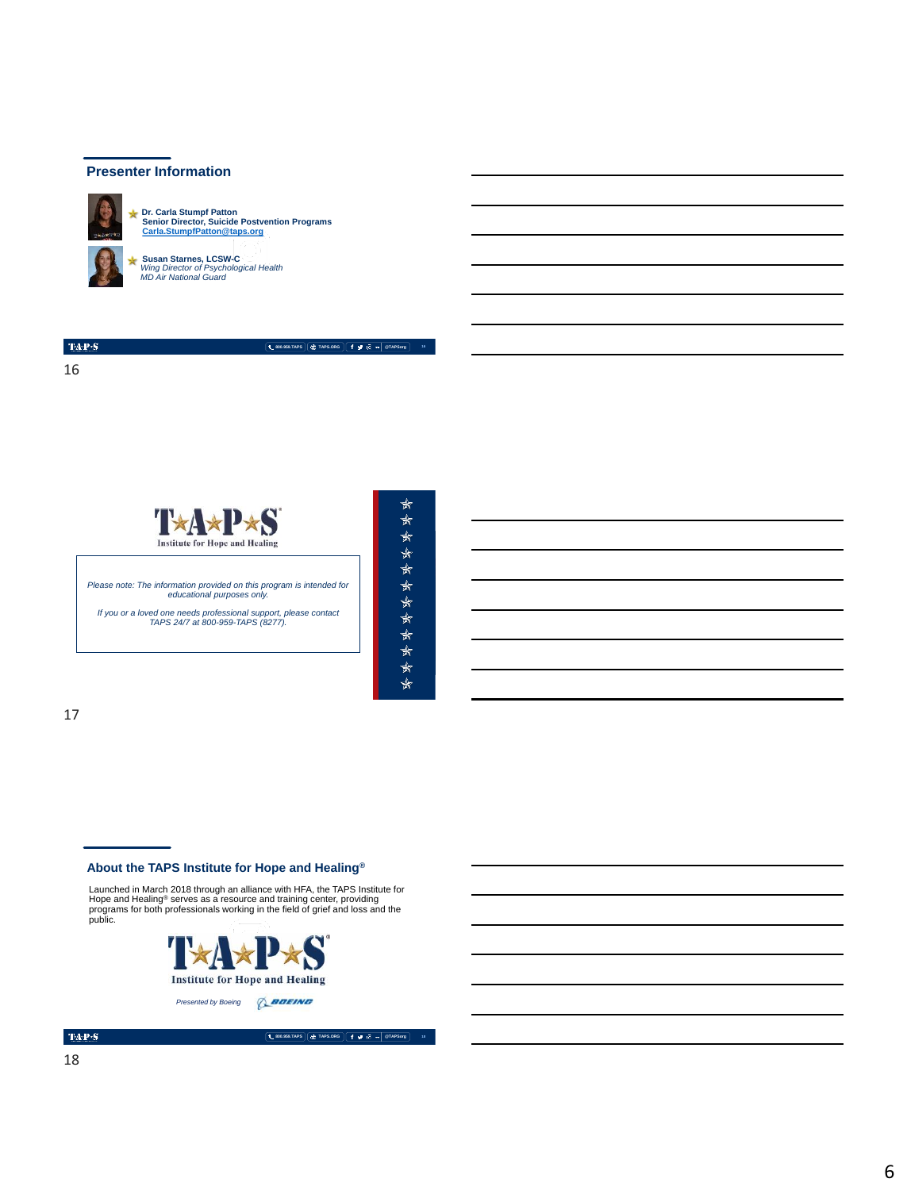### **Presenter Information**



**Dr. Carla Stumpf Patton Senior Director, Suicide Postvention Programs [Carla.StumpfPatton@taps.org](mailto:Carla.StumpfPatton@taps.org)**

**Susan Starnes, LCSW-C** *Wing Director of Psychological Health MD Air National Guard* 

 $TAP-S$ 16

**800.959.TAPS TAPS.ORG @TAPSorg**

T\*A\*P\*S **Institute for Hope and Healing** *Please note: The information provided on this program is intended for educational purposes only. If you or a loved one needs professional support, please contact TAPS 24/7 at 800-959-TAPS (8277).*  MEMORIAL DAY WEEKEND | MAY 2018

\*\*\*\*  $\star$ \*\*\*\*\*\*\*  $\star$ 

 $\star$ 

17

### **About the TAPS Institute for Hope and Healing®**

Launched in March 2018 through an alliance with HFA, the TAPS Institute for Hope and Healing® serves as a resource and training center, providing programs for both professionals working in the field of grief and loss and the public.



**800.959.TAPS TAPS.ORG @TAPSorg**

**18**